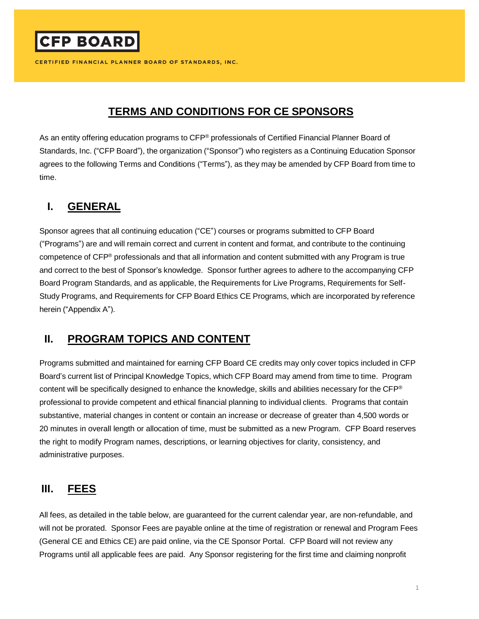# **TERMS AND CONDITIONS FOR CE SPONSORS**

As an entity offering education programs to CFP<sup>®</sup> professionals of Certified Financial Planner Board of Standards, Inc. ("CFP Board"), the organization ("Sponsor") who registers as a Continuing Education Sponsor agrees to the following Terms and Conditions ("Terms"), as they may be amended by CFP Board from time to time.

### **I. GENERAL**

**CFP BOARD** 

Sponsor agrees that all continuing education ("CE") courses or programs submitted to CFP Board ("Programs") are and will remain correct and current in content and format, and contribute to the continuing competence of CFP® professionals and that all information and content submitted with any Program is true and correct to the best of Sponsor's knowledge. Sponsor further agrees to adhere to the accompanying CFP Board Program Standards, and as applicable, the Requirements for Live Programs, Requirements for Self-Study Programs, and Requirements for CFP Board Ethics CE Programs, which are incorporated by reference herein ("Appendix A").

### **II. PROGRAM TOPICS AND CONTENT**

Programs submitted and maintained for earning CFP Board CE credits may only cover topics included in CFP Board's current list of Principal Knowledge Topics, which CFP Board may amend from time to time. Program content will be specifically designed to enhance the knowledge, skills and abilities necessary for the CFP® professional to provide competent and ethical financial planning to individual clients. Programs that contain substantive, material changes in content or contain an increase or decrease of greater than 4,500 words or 20 minutes in overall length or allocation of time, must be submitted as a new Program. CFP Board reserves the right to modify Program names, descriptions, or learning objectives for clarity, consistency, and administrative purposes.

### **III. FEES**

All fees, as detailed in the table below, are guaranteed for the current calendar year, are non-refundable, and will not be prorated. Sponsor Fees are payable online at the time of registration or renewal and Program Fees (General CE and Ethics CE) are paid online, via the CE Sponsor Portal. CFP Board will not review any Programs until all applicable fees are paid. Any Sponsor registering for the first time and claiming nonprofit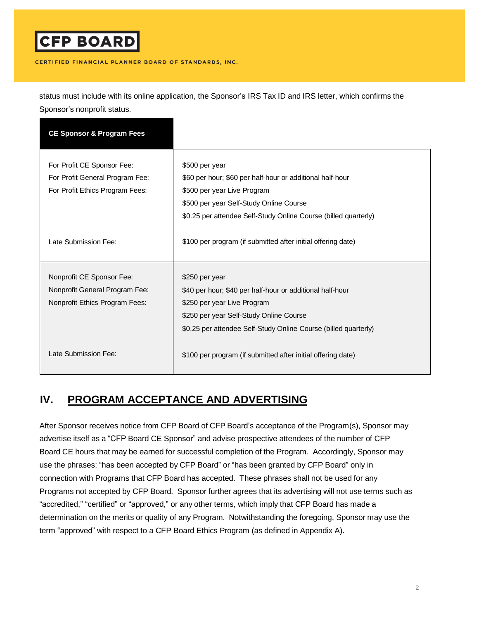# **CFP BOARD**

#### CERTIFIED FINANCIAL PLANNER BOARD OF STANDARDS, INC.

status must include with its online application, the Sponsor's IRS Tax ID and IRS letter, which confirms the Sponsor's nonprofit status.

| <b>CE Sponsor &amp; Program Fees</b> |                                                                 |
|--------------------------------------|-----------------------------------------------------------------|
|                                      |                                                                 |
| For Profit CE Sponsor Fee:           | \$500 per year                                                  |
| For Profit General Program Fee:      | \$60 per hour; \$60 per half-hour or additional half-hour       |
| For Profit Ethics Program Fees:      | \$500 per year Live Program                                     |
|                                      | \$500 per year Self-Study Online Course                         |
|                                      | \$0.25 per attendee Self-Study Online Course (billed quarterly) |
|                                      |                                                                 |
| Late Submission Fee:                 | \$100 per program (if submitted after initial offering date)    |
|                                      |                                                                 |
| Nonprofit CE Sponsor Fee:            | \$250 per year                                                  |
|                                      |                                                                 |
| Nonprofit General Program Fee:       | \$40 per hour; \$40 per half-hour or additional half-hour       |
| Nonprofit Ethics Program Fees:       | \$250 per year Live Program                                     |
|                                      | \$250 per year Self-Study Online Course                         |
|                                      | \$0.25 per attendee Self-Study Online Course (billed quarterly) |
|                                      |                                                                 |
| Late Submission Fee:                 | \$100 per program (if submitted after initial offering date)    |

# **IV. PROGRAM ACCEPTANCE AND ADVERTISING**

After Sponsor receives notice from CFP Board of CFP Board's acceptance of the Program(s), Sponsor may advertise itself as a "CFP Board CE Sponsor" and advise prospective attendees of the number of CFP Board CE hours that may be earned for successful completion of the Program. Accordingly, Sponsor may use the phrases: "has been accepted by CFP Board" or "has been granted by CFP Board" only in connection with Programs that CFP Board has accepted. These phrases shall not be used for any Programs not accepted by CFP Board. Sponsor further agrees that its advertising will not use terms such as "accredited," "certified" or "approved," or any other terms, which imply that CFP Board has made a determination on the merits or quality of any Program. Notwithstanding the foregoing, Sponsor may use the term "approved" with respect to a CFP Board Ethics Program (as defined in Appendix A).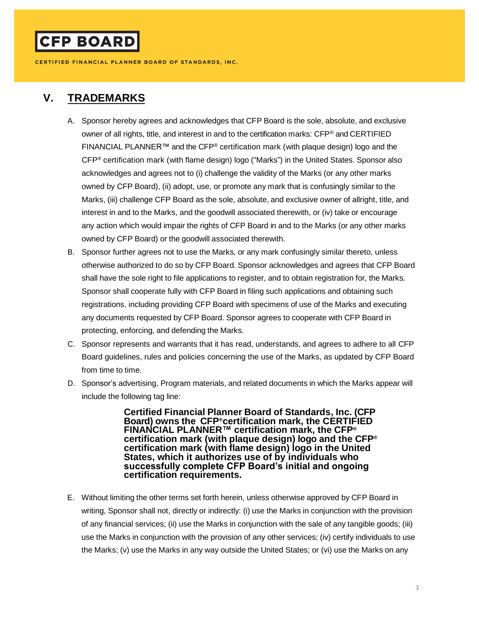### **V. TRADEMARKS**

- A. Sponsor hereby agrees and acknowledges that CFP Board is the sole, absolute, and exclusive owner of all rights, title, and interest in and to the certification marks: CFP® and CERTIFIED FINANCIAL PLANNER™ and the CFP® certification mark (with plaque design) logo and the CFP® certification mark (with flame design) logo ("Marks") in the United States. Sponsor also acknowledges and agrees not to (i) challenge the validity of the Marks (or any other marks owned by CFP Board), (ii) adopt, use, or promote any mark that is confusingly similar to the Marks, (iii) challenge CFP Board as the sole, absolute, and exclusive owner of allright, title, and interest in and to the Marks, and the goodwill associated therewith, or (iv) take or encourage any action which would impair the rights of CFP Board in and to the Marks (or any other marks owned by CFP Board) or the goodwill associated therewith.
- B. Sponsor further agrees not to use the Marks, or any mark confusingly similar thereto, unless otherwise authorized to do so by CFP Board. Sponsor acknowledges and agrees that CFP Board shall have the sole right to file applications to register, and to obtain registration for, the Marks. Sponsor shall cooperate fully with CFP Board in filing such applications and obtaining such registrations, including providing CFP Board with specimens of use of the Marks and executing any documents requested by CFP Board. Sponsor agrees to cooperate with CFP Board in protecting, enforcing, and defending the Marks.
- C. Sponsor represents and warrants that it has read, understands, and agrees to adhere to all CFP Board guidelines, rules and policies concerning the use of the Marks, as updated by CFP Board from time to time.
- D. Sponsor's advertising, Program materials, and related documents in which the Marks appear will include the following tag line:

**Certified Financial Planner Board of Standards, Inc. (CFP Board) owns the CFP®certification mark, the CERTIFIED FINANCIAL PLANNER™ certification mark, the CFP® certification mark (with plaque design) logo and the CFP® certification mark (with flame design) logo in the United States, which it authorizes use of by individuals who successfully complete CFP Board's initial and ongoing certification requirements.**

E. Without limiting the other terms set forth herein, unless otherwise approved by CFP Board in writing, Sponsor shall not, directly or indirectly: (i) use the Marks in conjunction with the provision of any financial services; (ii) use the Marks in conjunction with the sale of any tangible goods; (iii) use the Marks in conjunction with the provision of any other services; (iv) certify individuals to use the Marks; (v) use the Marks in any way outside the United States; or (vi) use the Marks on any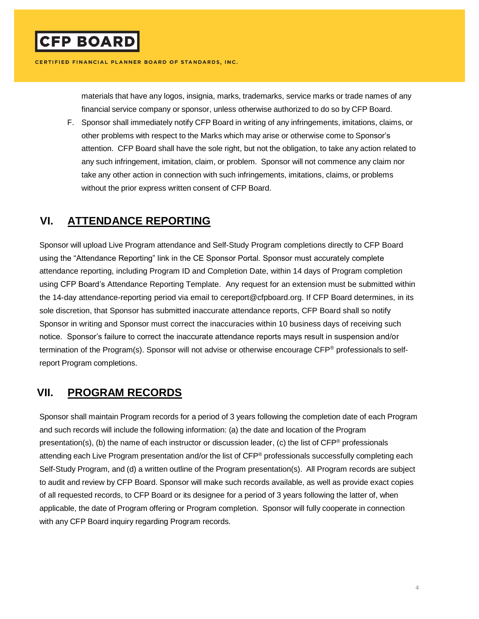materials that have any logos, insignia, marks, trademarks, service marks or trade names of any financial service company or sponsor, unless otherwise authorized to do so by CFP Board.

F. Sponsor shall immediately notify CFP Board in writing of any infringements, imitations, claims, or other problems with respect to the Marks which may arise or otherwise come to Sponsor's attention. CFP Board shall have the sole right, but not the obligation, to take any action related to any such infringement, imitation, claim, or problem. Sponsor will not commence any claim nor take any other action in connection with such infringements, imitations, claims, or problems without the prior express written consent of CFP Board.

#### **VI. ATTENDANCE REPORTING**

Sponsor will upload Live Program attendance and Self-Study Program completions directly to CFP Board using the "Attendance Reporting" link in the CE Sponsor Portal. Sponsor must accurately complete attendance reporting, including Program ID and Completion Date, within 14 days of Program completion using CFP Board's Attendance Reporting Template. Any request for an extension must be submitted within the 14-day attendance-reporting period via email to [cereport@cfpboard.org. I](mailto:cereport@cfpboard.org)f CFP Board determines, in its sole discretion, that Sponsor has submitted inaccurate attendance reports, CFP Board shall so notify Sponsor in writing and Sponsor must correct the inaccuracies within 10 business days of receiving such notice. Sponsor's failure to correct the inaccurate attendance reports mays result in suspension and/or termination of the Program(s). Sponsor will not advise or otherwise encourage CFP® professionals to selfreport Program completions.

### **VII. PROGRAM RECORDS**

Sponsor shall maintain Program records for a period of 3 years following the completion date of each Program and such records will include the following information: (a) the date and location of the Program presentation(s), (b) the name of each instructor or discussion leader, (c) the list of CFP® professionals attending each Live Program presentation and/or the list of CFP® professionals successfully completing each Self-Study Program, and (d) a written outline of the Program presentation(s). All Program records are subject to audit and review by CFP Board. Sponsor will make such records available, as well as provide exact copies of all requested records, to CFP Board or its designee for a period of 3 years following the latter of, when applicable, the date of Program offering or Program completion. Sponsor will fully cooperate in connection with any CFP Board inquiry regarding Program records.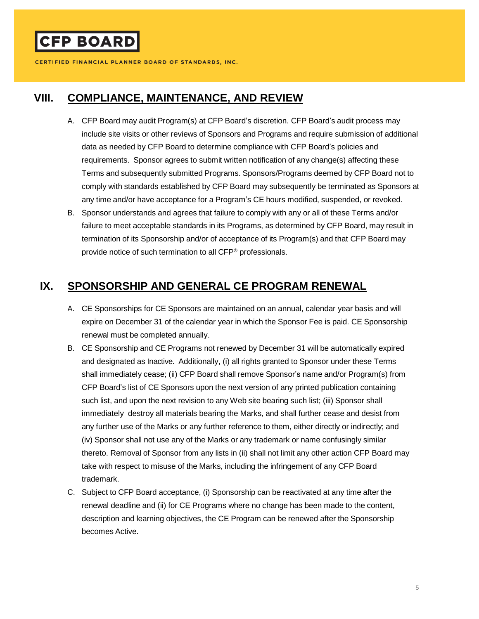#### **VIII. COMPLIANCE, MAINTENANCE, AND REVIEW**

- A. CFP Board may audit Program(s) at CFP Board's discretion. CFP Board's audit process may include site visits or other reviews of Sponsors and Programs and require submission of additional data as needed by CFP Board to determine compliance with CFP Board's policies and requirements. Sponsor agrees to submit written notification of any change(s) affecting these Terms and subsequently submitted Programs. Sponsors/Programs deemed by CFP Board not to comply with standards established by CFP Board may subsequently be terminated as Sponsors at any time and/or have acceptance for a Program's CE hours modified, suspended, or revoked.
- B. Sponsor understands and agrees that failure to comply with any or all of these Terms and/or failure to meet acceptable standards in its Programs, as determined by CFP Board, may result in termination of its Sponsorship and/or of acceptance of its Program(s) and that CFP Board may provide notice of such termination to all CFP® professionals.

### **IX. SPONSORSHIP AND GENERAL CE PROGRAM RENEWAL**

- A. CE Sponsorships for CE Sponsors are maintained on an annual, calendar year basis and will expire on December 31 of the calendar year in which the Sponsor Fee is paid. CE Sponsorship renewal must be completed annually.
- B. CE Sponsorship and CE Programs not renewed by December 31 will be automatically expired and designated as Inactive. Additionally, (i) all rights granted to Sponsor under these Terms shall immediately cease; (ii) CFP Board shall remove Sponsor's name and/or Program(s) from CFP Board's list of CE Sponsors upon the next version of any printed publication containing such list, and upon the next revision to any Web site bearing such list; (iii) Sponsor shall immediately destroy all materials bearing the Marks, and shall further cease and desist from any further use of the Marks or any further reference to them, either directly or indirectly; and (iv) Sponsor shall not use any of the Marks or any trademark or name confusingly similar thereto. Removal of Sponsor from any lists in (ii) shall not limit any other action CFP Board may take with respect to misuse of the Marks, including the infringement of any CFP Board trademark.
- C. Subject to CFP Board acceptance, (i) Sponsorship can be reactivated at any time after the renewal deadline and (ii) for CE Programs where no change has been made to the content, description and learning objectives, the CE Program can be renewed after the Sponsorship becomes Active.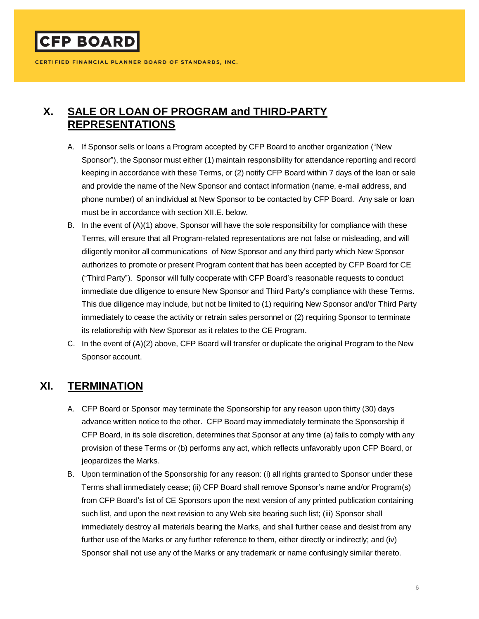**CFP BOARD** 

CERTIFIED FINANCIAL PLANNER BOARD OF STANDARDS, INC.

# **X. SALE OR LOAN OF PROGRAM and THIRD-PARTY REPRESENTATIONS**

- A. If Sponsor sells or loans a Program accepted by CFP Board to another organization ("New Sponsor"), the Sponsor must either (1) maintain responsibility for attendance reporting and record keeping in accordance with these Terms, or (2) notify CFP Board within 7 days of the loan or sale and provide the name of the New Sponsor and contact information (name, e-mail address, and phone number) of an individual at New Sponsor to be contacted by CFP Board. Any sale or loan must be in accordance with section XII.E. below.
- B. In the event of (A)(1) above, Sponsor will have the sole responsibility for compliance with these Terms, will ensure that all Program-related representations are not false or misleading, and will diligently monitor all communications of New Sponsor and any third party which New Sponsor authorizes to promote or present Program content that has been accepted by CFP Board for CE ("Third Party"). Sponsor will fully cooperate with CFP Board's reasonable requests to conduct immediate due diligence to ensure New Sponsor and Third Party's compliance with these Terms. This due diligence may include, but not be limited to (1) requiring New Sponsor and/or Third Party immediately to cease the activity or retrain sales personnel or (2) requiring Sponsor to terminate its relationship with New Sponsor as it relates to the CE Program.
- C. In the event of (A)(2) above, CFP Board will transfer or duplicate the original Program to the New Sponsor account.

### **XI. TERMINATION**

- A. CFP Board or Sponsor may terminate the Sponsorship for any reason upon thirty (30) days advance written notice to the other. CFP Board may immediately terminate the Sponsorship if CFP Board, in its sole discretion, determines that Sponsor at any time (a) fails to comply with any provision of these Terms or (b) performs any act, which reflects unfavorably upon CFP Board, or jeopardizes the Marks.
- B. Upon termination of the Sponsorship for any reason: (i) all rights granted to Sponsor under these Terms shall immediately cease; (ii) CFP Board shall remove Sponsor's name and/or Program(s) from CFP Board's list of CE Sponsors upon the next version of any printed publication containing such list, and upon the next revision to any Web site bearing such list; (iii) Sponsor shall immediately destroy all materials bearing the Marks, and shall further cease and desist from any further use of the Marks or any further reference to them, either directly or indirectly; and (iv) Sponsor shall not use any of the Marks or any trademark or name confusingly similar thereto.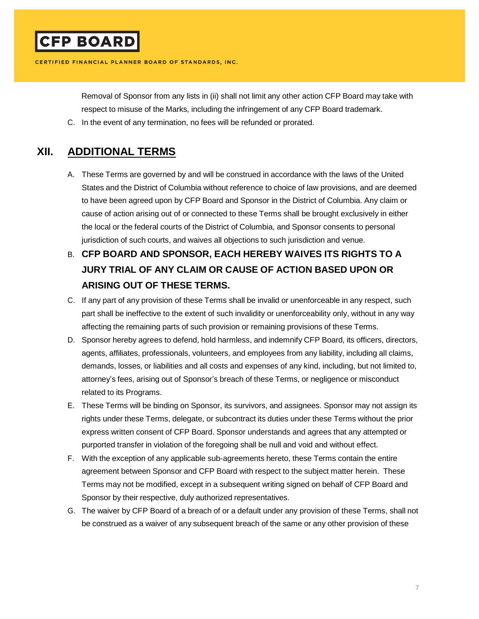Removal of Sponsor from any lists in (ii) shall not limit any other action CFP Board may take with respect to misuse of the Marks, including the infringement of any CFP Board trademark.

C. In the event of any termination, no fees will be refunded or prorated.

### **XII. ADDITIONAL TERMS**

- A. These Terms are governed by and will be construed in accordance with the laws of the United States and the District of Columbia without reference to choice of law provisions, and are deemed to have been agreed upon by CFP Board and Sponsor in the District of Columbia. Any claim or cause of action arising out of or connected to these Terms shall be brought exclusively in either the local or the federal courts of the District of Columbia, and Sponsor consents to personal jurisdiction of such courts, and waives all objections to such jurisdiction and venue.
- B. **CFP BOARD AND SPONSOR, EACH HEREBY WAIVES ITS RIGHTS TO A JURY TRIAL OF ANY CLAIM OR CAUSE OF ACTION BASED UPON OR ARISING OUT OF THESE TERMS.**
- C. If any part of any provision of these Terms shall be invalid or unenforceable in any respect, such part shall be ineffective to the extent of such invalidity or unenforceability only, without in any way affecting the remaining parts of such provision or remaining provisions of these Terms.
- D. Sponsor hereby agrees to defend, hold harmless, and indemnify CFP Board, its officers, directors, agents, affiliates, professionals, volunteers, and employees from any liability, including all claims, demands, losses, or liabilities and all costs and expenses of any kind, including, but not limited to, attorney's fees, arising out of Sponsor's breach of these Terms, or negligence or misconduct related to its Programs.
- E. These Terms will be binding on Sponsor, its survivors, and assignees. Sponsor may not assign its rights under these Terms, delegate, or subcontract its duties under these Terms without the prior express written consent of CFP Board. Sponsor understands and agrees that any attempted or purported transfer in violation of the foregoing shall be null and void and without effect.
- F. With the exception of any applicable sub-agreements hereto, these Terms contain the entire agreement between Sponsor and CFP Board with respect to the subject matter herein. These Terms may not be modified, except in a subsequent writing signed on behalf of CFP Board and Sponsor by their respective, duly authorized representatives.
- G. The waiver by CFP Board of a breach of or a default under any provision of these Terms, shall not be construed as a waiver of any subsequent breach of the same or any other provision of these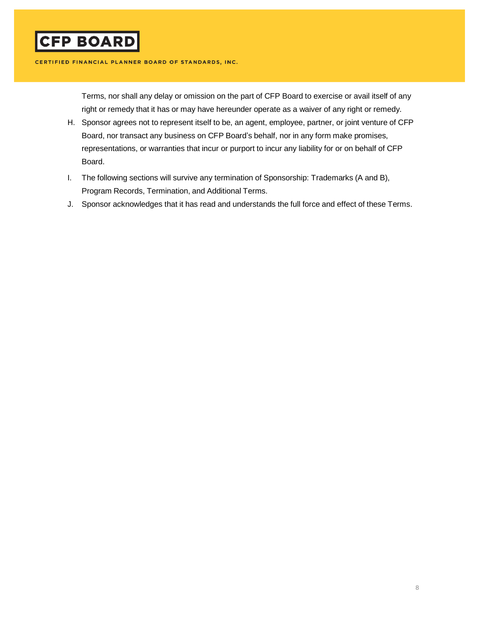Terms, nor shall any delay or omission on the part of CFP Board to exercise or avail itself of any right or remedy that it has or may have hereunder operate as a waiver of any right or remedy.

- H. Sponsor agrees not to represent itself to be, an agent, employee, partner, or joint venture of CFP Board, nor transact any business on CFP Board's behalf, nor in any form make promises, representations, or warranties that incur or purport to incur any liability for or on behalf of CFP Board.
- I. The following sections will survive any termination of Sponsorship: Trademarks (A and B), Program Records, Termination, and Additional Terms.
- J. Sponsor acknowledges that it has read and understands the full force and effect of these Terms.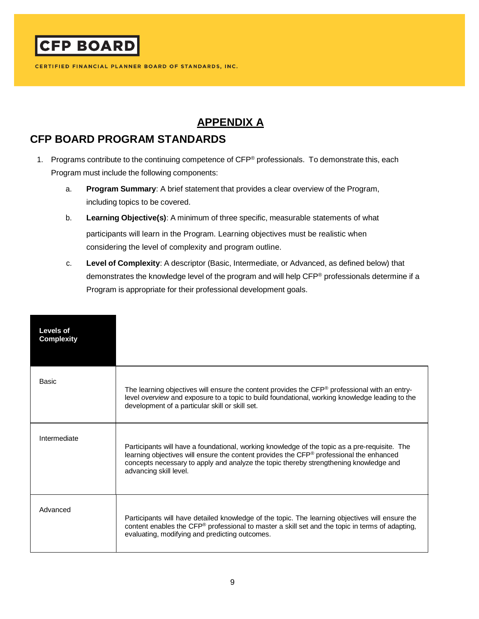

# **APPENDIX A**

# **CFP BOARD PROGRAM STANDARDS**

- 1. Programs contribute to the continuing competence of CFP® professionals. To demonstrate this, each Program must include the following components:
	- a. **Program Summary**: A brief statement that provides a clear overview of the Program, including topics to be covered.
	- b. **Learning Objective(s)**: A minimum of three specific, measurable statements of what participants will learn in the Program. Learning objectives must be realistic when considering the level of complexity and program outline.
	- c. **Level of Complexity**: A descriptor (Basic, Intermediate, or Advanced, as defined below) that demonstrates the knowledge level of the program and will help CFP® professionals determine if a Program is appropriate for their professional development goals.

| Levels of<br><b>Complexity</b> |                                                                                                                                                                                                                                                                                                             |
|--------------------------------|-------------------------------------------------------------------------------------------------------------------------------------------------------------------------------------------------------------------------------------------------------------------------------------------------------------|
| Basic                          | The learning objectives will ensure the content provides the CFP® professional with an entry-<br>level overview and exposure to a topic to build foundational, working knowledge leading to the<br>development of a particular skill or skill set.                                                          |
| Intermediate                   | Participants will have a foundational, working knowledge of the topic as a pre-requisite. The<br>learning objectives will ensure the content provides the CFP® professional the enhanced<br>concepts necessary to apply and analyze the topic thereby strengthening knowledge and<br>advancing skill level. |
| Advanced                       | Participants will have detailed knowledge of the topic. The learning objectives will ensure the<br>content enables the CFP® professional to master a skill set and the topic in terms of adapting,<br>evaluating, modifying and predicting outcomes.                                                        |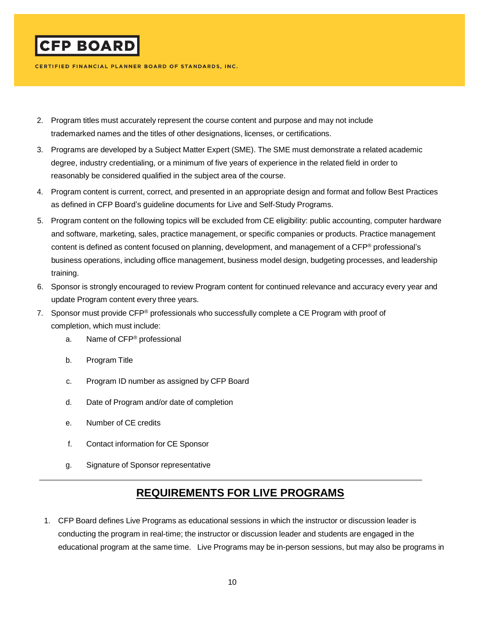

- 2. Program titles must accurately represent the course content and purpose and may not include trademarked names and the titles of other designations, licenses, or certifications.
- 3. Programs are developed by a Subject Matter Expert (SME). The SME must demonstrate a related academic degree, industry credentialing, or a minimum of five years of experience in the related field in order to reasonably be considered qualified in the subject area of the course.
- 4. Program content is current, correct, and presented in an appropriate design and format and follow Best Practices as defined in CFP Board's guideline documents for [Live](https://www.cfp.net/docs/default-source/for-education---resources-for-ce-sponsors/guidelines-for-developing-a-quality-live-program.pdf?sfvrsn=8) and Self-Study Programs.
- 5. Program content on the following topics will be excluded from CE eligibility: public accounting, computer hardware and software, marketing, sales, practice management, or specific companies or products. Practice management content is defined as content focused on planning, development, and management of a CFP® professional's business operations, including office management, business model design, budgeting processes, and leadership training.
- 6. Sponsor is strongly encouraged to review Program content for continued relevance and accuracy every year and update Program content every three years.
- 7. Sponsor must provide CFP® professionals who successfully complete a CE Program with proof of completion, which must include:
	- a. Name of CFP® professional
	- b. Program Title
	- c. Program ID number as assigned by CFP Board
	- d. Date of Program and/or date of completion
	- e. Number of CE credits
	- f. Contact information for CE Sponsor
	- g. Signature of Sponsor representative

# **REQUIREMENTS FOR LIVE PROGRAMS**

1. CFP Board defines Live Programs as educational sessions in which the instructor or discussion leader is conducting the program in real-time; the instructor or discussion leader and students are engaged in the educational program at the same time. Live Programs may be in-person sessions, but may also be programs in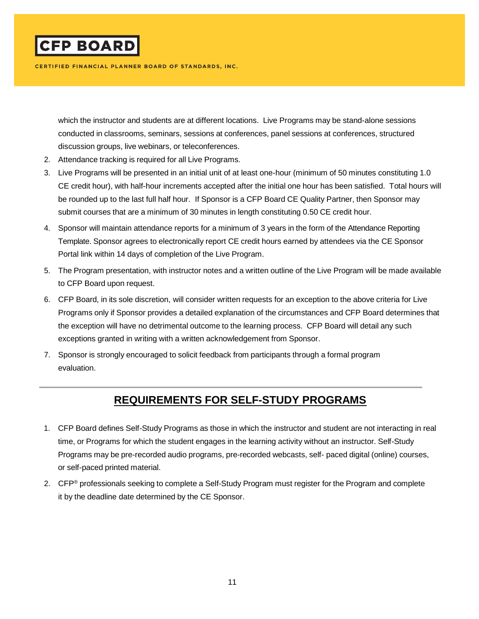

which the instructor and students are at different locations. Live Programs may be stand-alone sessions conducted in classrooms, seminars, sessions at conferences, panel sessions at conferences, structured discussion groups, live webinars, or teleconferences.

- 2. Attendance tracking is required for all Live Programs.
- 3. Live Programs will be presented in an initial unit of at least one-hour (minimum of 50 minutes constituting 1.0 CE credit hour), with half-hour increments accepted after the initial one hour has been satisfied. Total hours will be rounded up to the last full half hour. If Sponsor is a CFP Board CE Quality Partner, then Sponsor may submit courses that are a minimum of 30 minutes in length constituting 0.50 CE credit hour.
- 4. Sponsor will maintain attendance reports for a minimum of 3 years in the form of the Attendance Reporting Template. Sponsor agrees to electronically report CE credit hours earned by attendees via the CE Sponsor Portal link within 14 days of completion of the Live Program.
- 5. The Program presentation, with instructor notes and a written outline of the Live Program will be made available to CFP Board upon request.
- 6. CFP Board, in its sole discretion, will consider written requests for an exception to the above criteria for Live Programs only if Sponsor provides a detailed explanation of the circumstances and CFP Board determines that the exception will have no detrimental outcome to the learning process. CFP Board will detail any such exceptions granted in writing with a written acknowledgement from Sponsor.
- 7. Sponsor is strongly encouraged to solicit feedback from participants through a formal program evaluation.

### **REQUIREMENTS FOR SELF-STUDY PROGRAMS**

- 1. CFP Board defines Self-Study Programs as those in which the instructor and student are not interacting in real time, or Programs for which the student engages in the learning activity without an instructor. Self-Study Programs may be pre-recorded audio programs, pre-recorded webcasts, self- paced digital (online) courses, or self-paced printed material.
- 2. CFP<sup>®</sup> professionals seeking to complete a Self-Study Program must register for the Program and complete it by the deadline date determined by the CE Sponsor.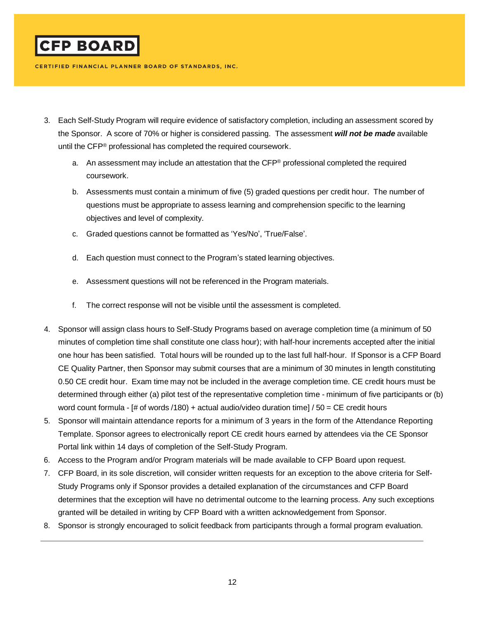

- 3. Each Self-Study Program will require evidence of satisfactory completion, including an assessment scored by the Sponsor. A score of 70% or higher is considered passing. The assessment *will not be made* available until the CFP® professional has completed the required coursework.
	- a. An assessment may include an attestation that the CFP® professional completed the required coursework.
	- b. Assessments must contain a minimum of five (5) graded questions per credit hour. The number of questions must be appropriate to assess learning and comprehension specific to the learning objectives and level of complexity.
	- c. Graded questions cannot be formatted as 'Yes/No', 'True/False'.
	- d. Each question must connect to the Program's stated learning objectives.
	- e. Assessment questions will not be referenced in the Program materials.
	- f. The correct response will not be visible until the assessment is completed.
- 4. Sponsor will assign class hours to Self-Study Programs based on average completion time (a minimum of 50 minutes of completion time shall constitute one class hour); with half-hour increments accepted after the initial one hour has been satisfied. Total hours will be rounded up to the last full half-hour. If Sponsor is a CFP Board CE Quality Partner, then Sponsor may submit courses that are a minimum of 30 minutes in length constituting 0.50 CE credit hour. Exam time may not be included in the average completion time. CE credit hours must be determined through either (a) pilot test of the representative completion time - minimum of five participants or (b) word count formula - [# of words /180) + actual audio/video duration time] / 50 = CE credit hours
- 5. Sponsor will maintain attendance reports for a minimum of 3 years in the form of the Attendance Reporting Templat[e. S](http://www.cfp.net/batch).)ponsor agrees to electronically report CE credit hours earned by attendees via the CE Sponsor Portal link within 14 days of completion of the Self-Study Program.
- 6. Access to the Program and/or Program materials will be made available to CFP Board upon request.
- 7. CFP Board, in its sole discretion, will consider written requests for an exception to the above criteria for Self-Study Programs only if Sponsor provides a detailed explanation of the circumstances and CFP Board determines that the exception will have no detrimental outcome to the learning process. Any such exceptions granted will be detailed in writing by CFP Board with a written acknowledgement from Sponsor.
- 8. Sponsor is strongly encouraged to solicit feedback from participants through a formal program evaluation.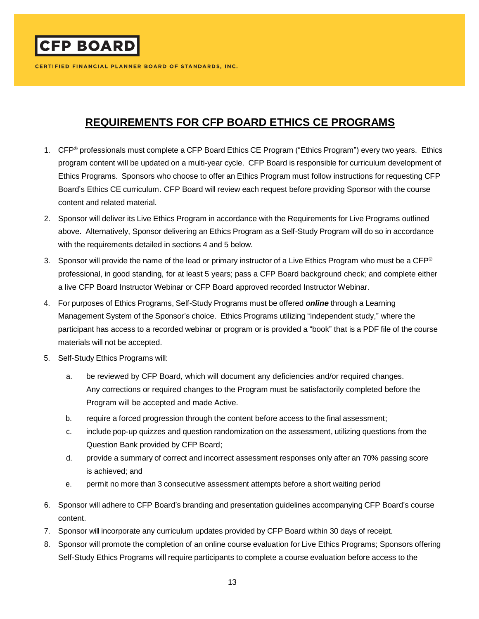**CFP BOARD** 

CERTIFIED FINANCIAL PLANNER BOARD OF STANDARDS, INC.

# **REQUIREMENTS FOR CFP BOARD ETHICS CE PROGRAMS**

- 1. CFP<sup>®</sup> professionals must complete a CFP Board Ethics CE Program ("Ethics Program") every two years. Ethics program content will be updated on a multi-year cycle. CFP Board is responsible for curriculum development of Ethics Programs. Sponsors who choose to offer an Ethics Program must follow instructions for requesting CFP Board's Ethics CE curriculum. CFP Board will review each request before providing Sponsor with the course content and related material.
- 2. Sponsor will deliver its Live Ethics Program in accordance with the Requirements for Live Programs outlined above. Alternatively, Sponsor delivering an Ethics Program as a Self-Study Program will do so in accordance with the requirements detailed in sections 4 and 5 below.
- 3. Sponsor will provide the name of the lead or primary instructor of a Live Ethics Program who must be a CFP® professional, in good standing, for at least 5 years; pass a CFP Board background check; and complete either a live CFP Board Instructor Webinar or CFP Board approved recorded Instructor Webinar.
- 4. For purposes of Ethics Programs, Self-Study Programs must be offered *online* through a Learning Management System of the Sponsor's choice. Ethics Programs utilizing "independent study," where the participant has access to a recorded webinar or program or is provided a "book" that is a PDF file of the course materials will not be accepted.
- 5. Self-Study Ethics Programs will:
	- a. be reviewed by CFP Board, which will document any deficiencies and/or required changes. Any corrections or required changes to the Program must be satisfactorily completed before the Program will be accepted and made Active.
	- b. require a forced progression through the content before access to the final assessment;
	- c. include pop-up quizzes and question randomization on the assessment, utilizing questions from the Question Bank provided by CFP Board;
	- d. provide a summary of correct and incorrect assessment responses only after an 70% passing score is achieved; and
	- e. permit no more than 3 consecutive assessment attempts before a short waiting period
- 6. Sponsor will adhere to CFP Board's branding and presentation guidelines accompanying CFP Board's course content.
- 7. Sponsor will incorporate any curriculum updates provided by CFP Board within 30 days of receipt.
- 8. Sponsor will promote the completion of an online course evaluation for Live Ethics Programs; Sponsors offering Self-Study Ethics Programs will require participants to complete a course evaluation before access to the